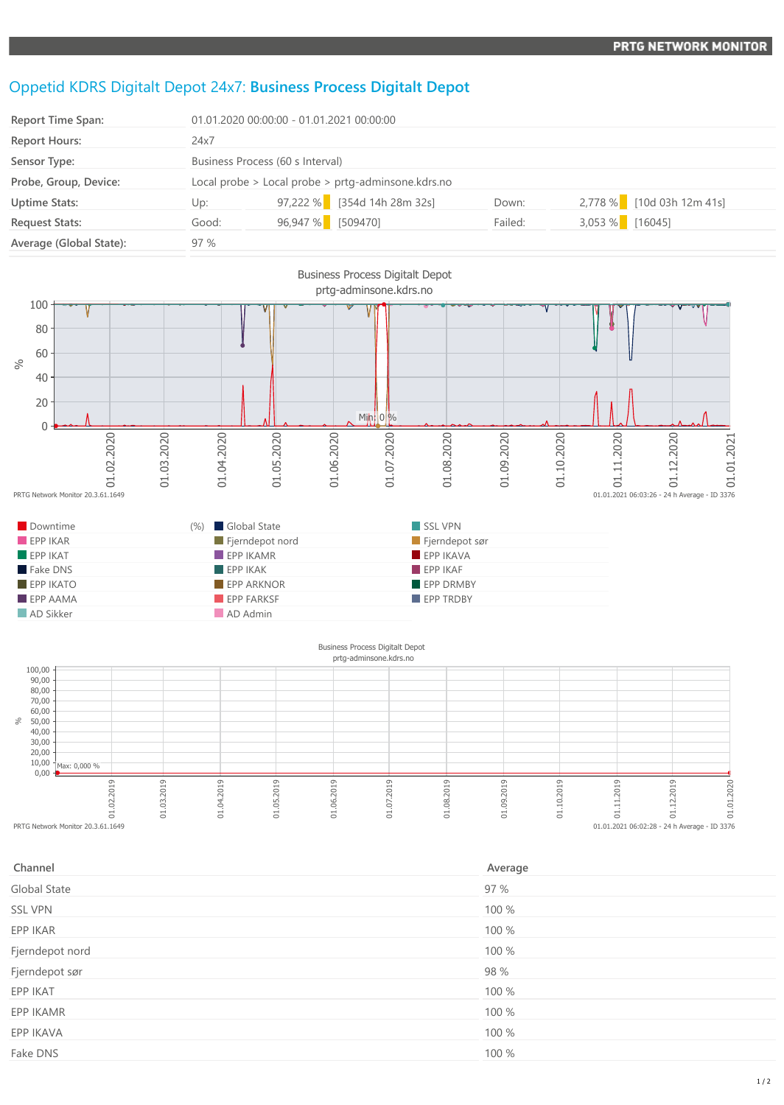## Oppetid KDRS Digitalt Depot 24x7: **Business Process Digitalt Depot**

| <b>Report Time Span:</b> | 01.01.2020 00:00:00 - 01.01.2021 00:00:00          |                   |                             |         |                   |                           |
|--------------------------|----------------------------------------------------|-------------------|-----------------------------|---------|-------------------|---------------------------|
| <b>Report Hours:</b>     | 24x7                                               |                   |                             |         |                   |                           |
| Sensor Type:             | Business Process (60 s Interval)                   |                   |                             |         |                   |                           |
| Probe, Group, Device:    | Local probe > Local probe > prtg-adminsone.kdrs.no |                   |                             |         |                   |                           |
| <b>Uptime Stats:</b>     | Up:                                                |                   | 97,222 % [354d 14h 28m 32s] | Down:   |                   | 2,778 % [10d 03h 12m 41s] |
| <b>Request Stats:</b>    | Good:                                              | 96,947 % [509470] |                             | Failed: | $3,053\%$ [16045] |                           |
| Average (Global State):  | 97 %                                               |                   |                             |         |                   |                           |



end control control control control control control control control control control control control control control control control control control control control control control control control control control control co

01.03.2019

01.04.2019

01.05.2019

01.06.2019

| Channel         | Average |
|-----------------|---------|
| Global State    | 97 %    |
| <b>SSL VPN</b>  | 100 %   |
| EPP IKAR        | 100 %   |
| Fjerndepot nord | 100 %   |
| Fjerndepot sør  | 98 %    |
| EPP IKAT        | 100 %   |
| EPP IKAMR       | 100 %   |
| EPP IKAVA       | 100 %   |
| Fake DNS        | 100 %   |
|                 |         |

01.07.2019

01.08.2019

01.09.2019

01.10.2019

01.11.2019

01.12.2019

 $01.01.2021$   $06:02:28 - 24$  h Average - ID 3376

01.01.2020